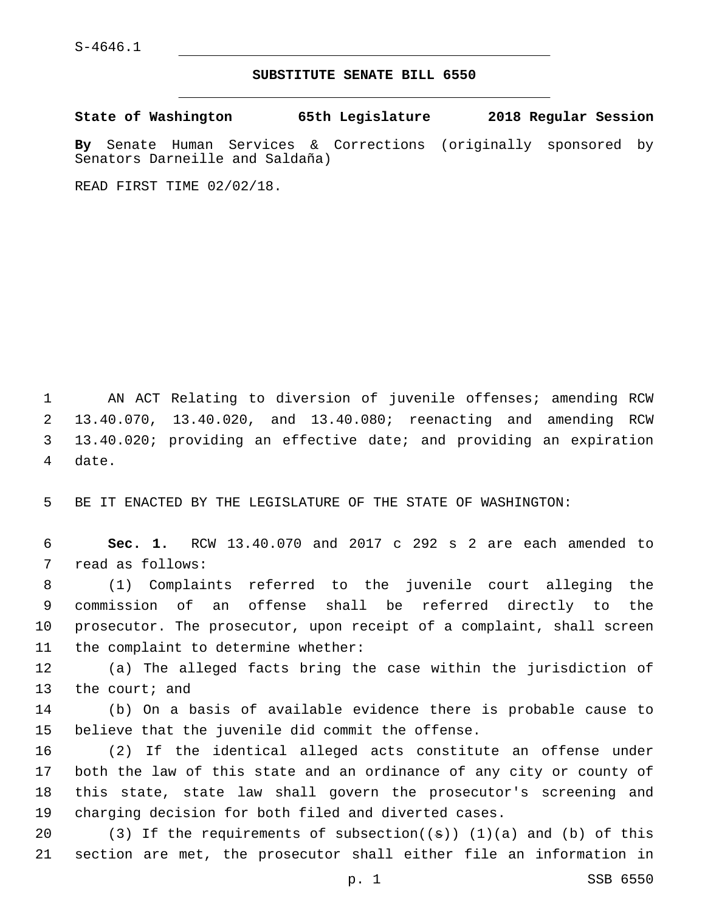S-4646.1

## **SUBSTITUTE SENATE BILL 6550**

**State of Washington 65th Legislature 2018 Regular Session**

**By** Senate Human Services & Corrections (originally sponsored by Senators Darneille and Saldaña)

READ FIRST TIME 02/02/18.

 AN ACT Relating to diversion of juvenile offenses; amending RCW 13.40.070, 13.40.020, and 13.40.080; reenacting and amending RCW 13.40.020; providing an effective date; and providing an expiration 4 date.

5 BE IT ENACTED BY THE LEGISLATURE OF THE STATE OF WASHINGTON:

6 **Sec. 1.** RCW 13.40.070 and 2017 c 292 s 2 are each amended to 7 read as follows:

 (1) Complaints referred to the juvenile court alleging the commission of an offense shall be referred directly to the prosecutor. The prosecutor, upon receipt of a complaint, shall screen 11 the complaint to determine whether:

12 (a) The alleged facts bring the case within the jurisdiction of 13 the court; and

14 (b) On a basis of available evidence there is probable cause to 15 believe that the juvenile did commit the offense.

 (2) If the identical alleged acts constitute an offense under both the law of this state and an ordinance of any city or county of this state, state law shall govern the prosecutor's screening and charging decision for both filed and diverted cases.

20 (3) If the requirements of subsection( $(\theta)$ ) (1)(a) and (b) of this 21 section are met, the prosecutor shall either file an information in

p. 1 SSB 6550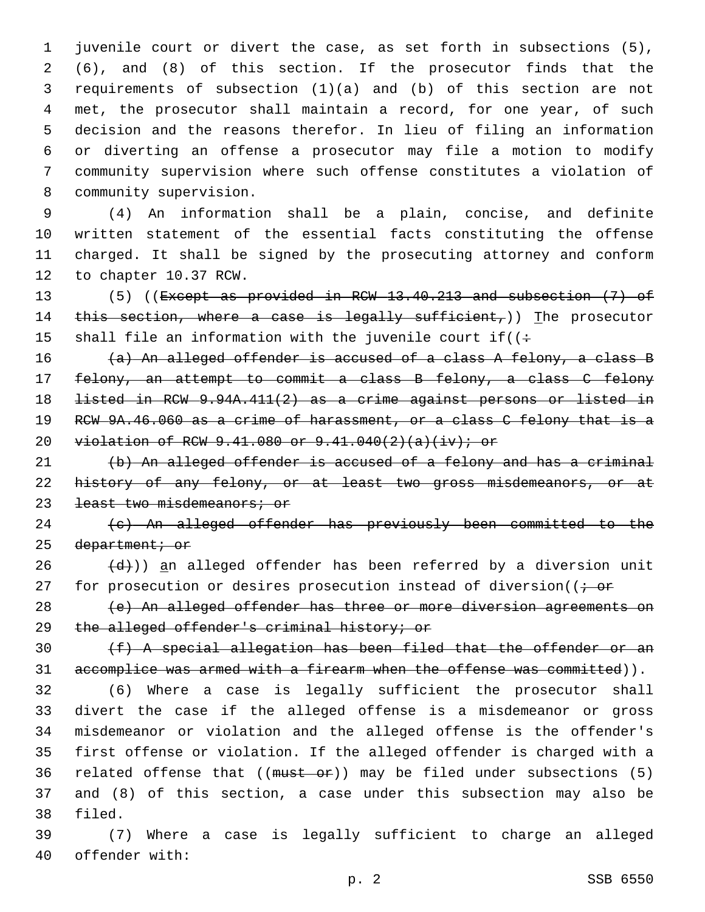juvenile court or divert the case, as set forth in subsections (5), (6), and (8) of this section. If the prosecutor finds that the requirements of subsection (1)(a) and (b) of this section are not met, the prosecutor shall maintain a record, for one year, of such decision and the reasons therefor. In lieu of filing an information or diverting an offense a prosecutor may file a motion to modify community supervision where such offense constitutes a violation of 8 community supervision.

 (4) An information shall be a plain, concise, and definite written statement of the essential facts constituting the offense charged. It shall be signed by the prosecuting attorney and conform 12 to chapter 10.37 RCW.

13 (5) ((Except as provided in RCW 13.40.213 and subsection (7) of 14 this section, where a case is legally sufficient,)) The prosecutor 15 shall file an information with the juvenile court if( $($ :

16 (a) An alleged offender is accused of a class A felony, a class B 17 felony, an attempt to commit a class B felony, a class C felony 18 listed in RCW 9.94A.411(2) as a crime against persons or listed in 19 RCW 9A.46.060 as a crime of harassment, or a class C felony that is a 20 violation of RCW 9.41.080 or 9.41.040(2)(a)(iv); or

21 (b) An alleged offender is accused of a felony and has a criminal 22 history of any felony, or at least two gross misdemeanors, or at 23 least two misdemeanors; or

24 (c) An alleged offender has previously been committed to the 25 department; or

 $26$  (d))) an alleged offender has been referred by a diversion unit 27 for prosecution or desires prosecution instead of diversion( $(-\text{or}$ 

28 (e) An alleged offender has three or more diversion agreements on 29 the alleged offender's criminal history; or

 $30$  (f) A special allegation has been filed that the offender or an 31 accomplice was armed with a firearm when the offense was committed)).

 (6) Where a case is legally sufficient the prosecutor shall divert the case if the alleged offense is a misdemeanor or gross misdemeanor or violation and the alleged offense is the offender's first offense or violation. If the alleged offender is charged with a 36 related offense that ((must or)) may be filed under subsections (5) and (8) of this section, a case under this subsection may also be 38 filed.

39 (7) Where a case is legally sufficient to charge an alleged offender with:40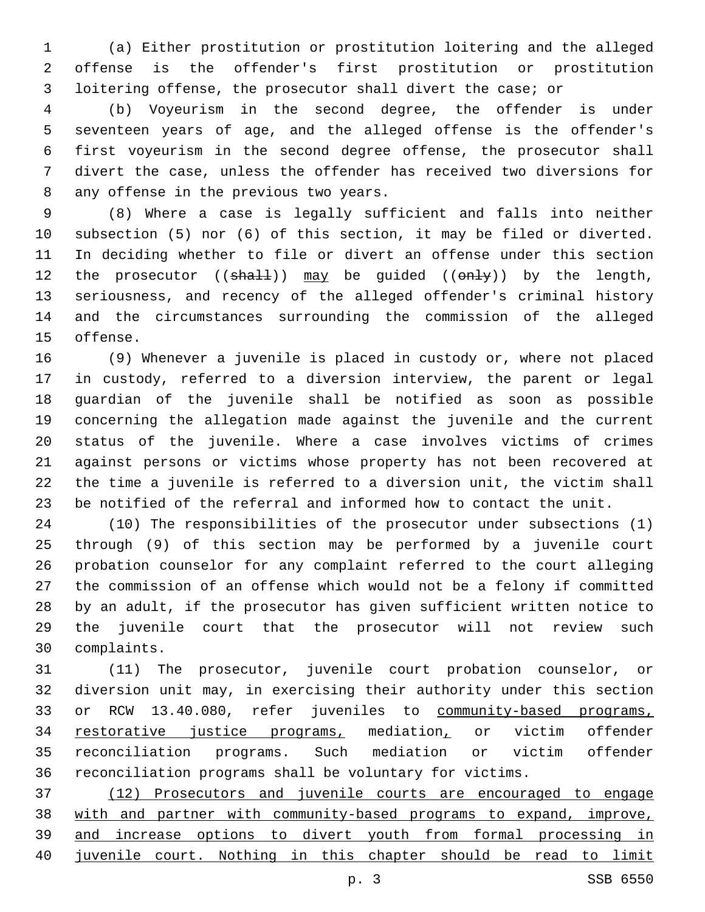(a) Either prostitution or prostitution loitering and the alleged offense is the offender's first prostitution or prostitution loitering offense, the prosecutor shall divert the case; or

 (b) Voyeurism in the second degree, the offender is under seventeen years of age, and the alleged offense is the offender's first voyeurism in the second degree offense, the prosecutor shall divert the case, unless the offender has received two diversions for 8 any offense in the previous two years.

 (8) Where a case is legally sufficient and falls into neither subsection (5) nor (6) of this section, it may be filed or diverted. In deciding whether to file or divert an offense under this section 12 the prosecutor  $((shall))$  may be guided  $((enhy))$  by the length, seriousness, and recency of the alleged offender's criminal history and the circumstances surrounding the commission of the alleged 15 offense.

 (9) Whenever a juvenile is placed in custody or, where not placed in custody, referred to a diversion interview, the parent or legal guardian of the juvenile shall be notified as soon as possible concerning the allegation made against the juvenile and the current status of the juvenile. Where a case involves victims of crimes against persons or victims whose property has not been recovered at the time a juvenile is referred to a diversion unit, the victim shall be notified of the referral and informed how to contact the unit.

 (10) The responsibilities of the prosecutor under subsections (1) through (9) of this section may be performed by a juvenile court probation counselor for any complaint referred to the court alleging the commission of an offense which would not be a felony if committed by an adult, if the prosecutor has given sufficient written notice to the juvenile court that the prosecutor will not review such complaints.30

 (11) The prosecutor, juvenile court probation counselor, or diversion unit may, in exercising their authority under this section 33 or RCW 13.40.080, refer juveniles to community-based programs, 34 restorative justice programs, mediation, or victim offender reconciliation programs. Such mediation or victim offender reconciliation programs shall be voluntary for victims.

 (12) Prosecutors and juvenile courts are encouraged to engage with and partner with community-based programs to expand, improve, and increase options to divert youth from formal processing in juvenile court. Nothing in this chapter should be read to limit

p. 3 SSB 6550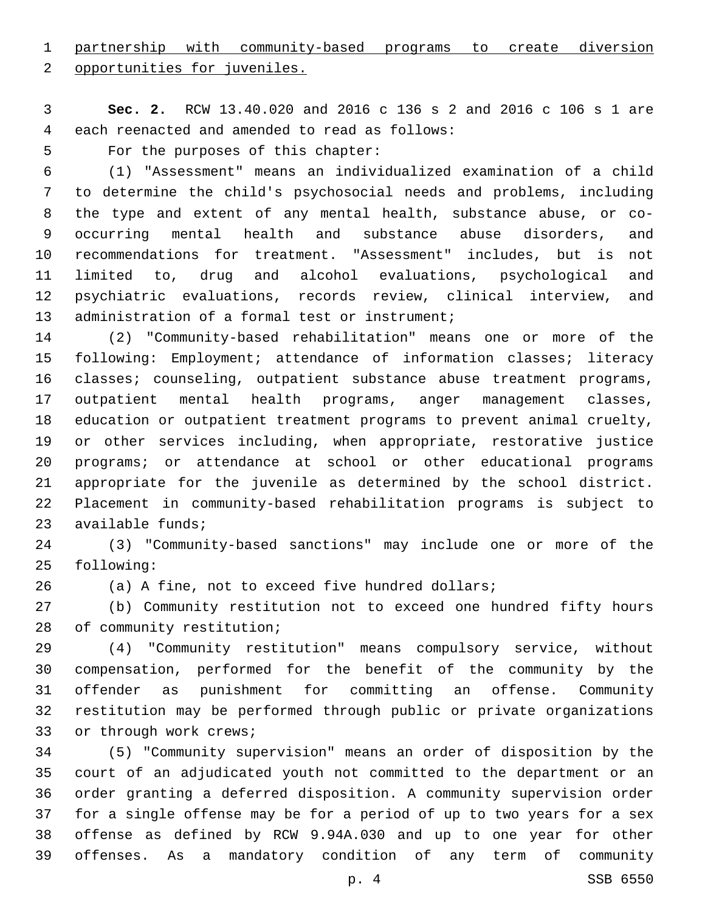partnership with community-based programs to create diversion

2 opportunities for juveniles.

 **Sec. 2.** RCW 13.40.020 and 2016 c 136 s 2 and 2016 c 106 s 1 are each reenacted and amended to read as follows:4

5 For the purposes of this chapter:

 (1) "Assessment" means an individualized examination of a child to determine the child's psychosocial needs and problems, including the type and extent of any mental health, substance abuse, or co- occurring mental health and substance abuse disorders, and recommendations for treatment. "Assessment" includes, but is not limited to, drug and alcohol evaluations, psychological and psychiatric evaluations, records review, clinical interview, and 13 administration of a formal test or instrument;

 (2) "Community-based rehabilitation" means one or more of the following: Employment; attendance of information classes; literacy classes; counseling, outpatient substance abuse treatment programs, outpatient mental health programs, anger management classes, education or outpatient treatment programs to prevent animal cruelty, or other services including, when appropriate, restorative justice programs; or attendance at school or other educational programs appropriate for the juvenile as determined by the school district. Placement in community-based rehabilitation programs is subject to 23 available funds;

 (3) "Community-based sanctions" may include one or more of the 25 following:

(a) A fine, not to exceed five hundred dollars;

 (b) Community restitution not to exceed one hundred fifty hours 28 of community restitution;

 (4) "Community restitution" means compulsory service, without compensation, performed for the benefit of the community by the offender as punishment for committing an offense. Community restitution may be performed through public or private organizations 33 or through work crews;

 (5) "Community supervision" means an order of disposition by the court of an adjudicated youth not committed to the department or an order granting a deferred disposition. A community supervision order for a single offense may be for a period of up to two years for a sex offense as defined by RCW 9.94A.030 and up to one year for other offenses. As a mandatory condition of any term of community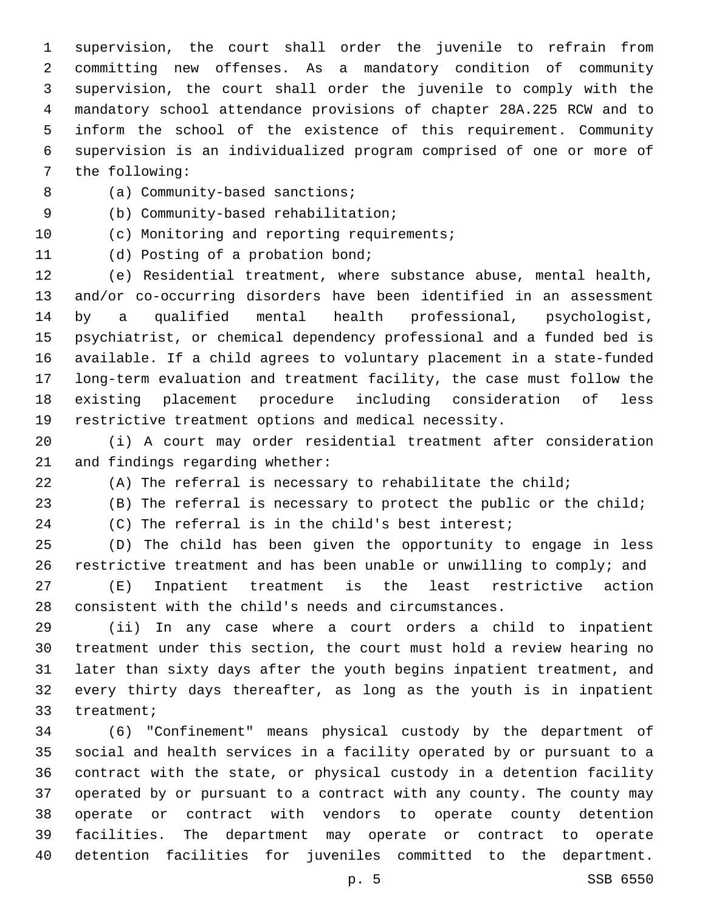supervision, the court shall order the juvenile to refrain from committing new offenses. As a mandatory condition of community supervision, the court shall order the juvenile to comply with the mandatory school attendance provisions of chapter 28A.225 RCW and to inform the school of the existence of this requirement. Community supervision is an individualized program comprised of one or more of 7 the following:

8 (a) Community-based sanctions;

(b) Community-based rehabilitation;9

10 (c) Monitoring and reporting requirements;

11 (d) Posting of a probation bond;

 (e) Residential treatment, where substance abuse, mental health, and/or co-occurring disorders have been identified in an assessment by a qualified mental health professional, psychologist, psychiatrist, or chemical dependency professional and a funded bed is available. If a child agrees to voluntary placement in a state-funded long-term evaluation and treatment facility, the case must follow the existing placement procedure including consideration of less restrictive treatment options and medical necessity.

 (i) A court may order residential treatment after consideration 21 and findings regarding whether:

(A) The referral is necessary to rehabilitate the child;

(B) The referral is necessary to protect the public or the child;

(C) The referral is in the child's best interest;

 (D) The child has been given the opportunity to engage in less restrictive treatment and has been unable or unwilling to comply; and (E) Inpatient treatment is the least restrictive action

consistent with the child's needs and circumstances.

 (ii) In any case where a court orders a child to inpatient treatment under this section, the court must hold a review hearing no later than sixty days after the youth begins inpatient treatment, and every thirty days thereafter, as long as the youth is in inpatient 33 treatment;

 (6) "Confinement" means physical custody by the department of social and health services in a facility operated by or pursuant to a contract with the state, or physical custody in a detention facility operated by or pursuant to a contract with any county. The county may operate or contract with vendors to operate county detention facilities. The department may operate or contract to operate detention facilities for juveniles committed to the department.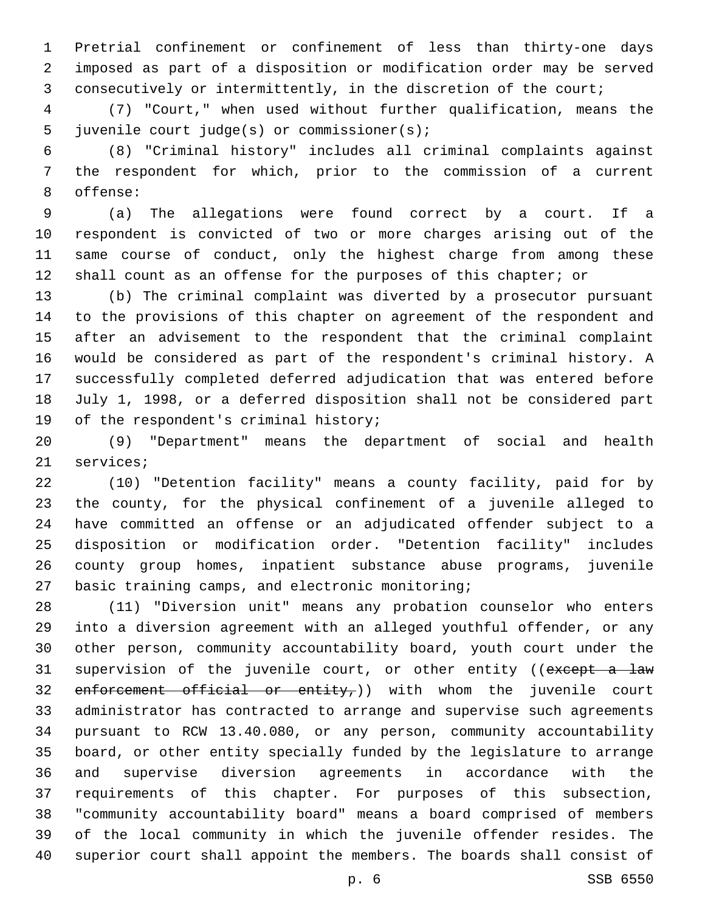Pretrial confinement or confinement of less than thirty-one days imposed as part of a disposition or modification order may be served consecutively or intermittently, in the discretion of the court;

 (7) "Court," when used without further qualification, means the 5 juvenile court judge(s) or commissioner(s);

 (8) "Criminal history" includes all criminal complaints against the respondent for which, prior to the commission of a current 8 offense:

 (a) The allegations were found correct by a court. If a respondent is convicted of two or more charges arising out of the same course of conduct, only the highest charge from among these shall count as an offense for the purposes of this chapter; or

 (b) The criminal complaint was diverted by a prosecutor pursuant to the provisions of this chapter on agreement of the respondent and after an advisement to the respondent that the criminal complaint would be considered as part of the respondent's criminal history. A successfully completed deferred adjudication that was entered before July 1, 1998, or a deferred disposition shall not be considered part 19 of the respondent's criminal history;

 (9) "Department" means the department of social and health 21 services;

 (10) "Detention facility" means a county facility, paid for by the county, for the physical confinement of a juvenile alleged to have committed an offense or an adjudicated offender subject to a disposition or modification order. "Detention facility" includes county group homes, inpatient substance abuse programs, juvenile 27 basic training camps, and electronic monitoring;

 (11) "Diversion unit" means any probation counselor who enters into a diversion agreement with an alleged youthful offender, or any other person, community accountability board, youth court under the 31 supervision of the juvenile court, or other entity ((except a law 32 enforcement official or entity,)) with whom the juvenile court administrator has contracted to arrange and supervise such agreements pursuant to RCW 13.40.080, or any person, community accountability board, or other entity specially funded by the legislature to arrange and supervise diversion agreements in accordance with the requirements of this chapter. For purposes of this subsection, "community accountability board" means a board comprised of members of the local community in which the juvenile offender resides. The superior court shall appoint the members. The boards shall consist of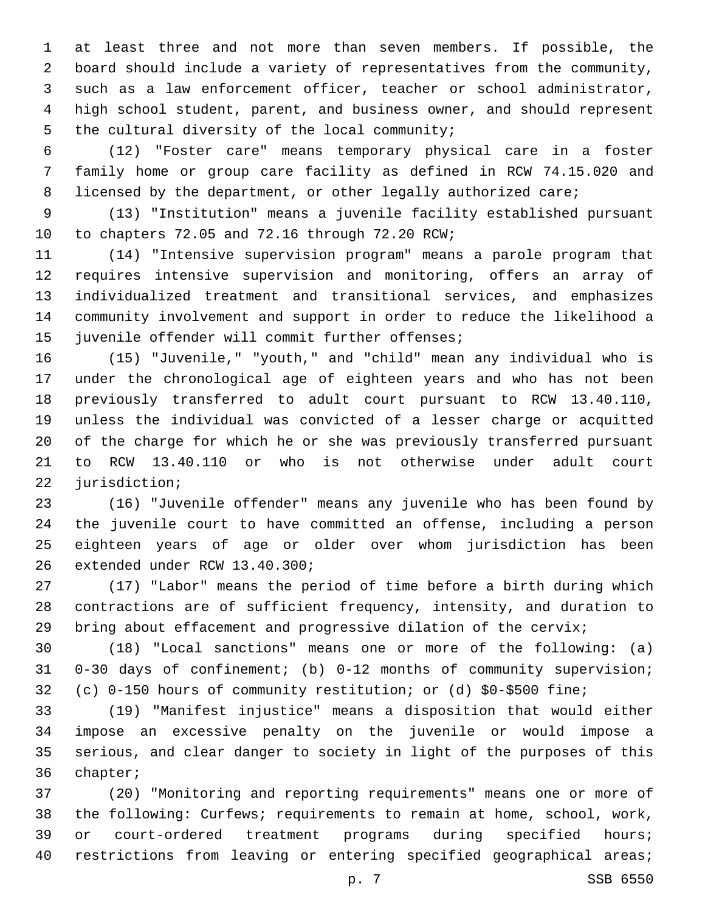at least three and not more than seven members. If possible, the board should include a variety of representatives from the community, such as a law enforcement officer, teacher or school administrator, high school student, parent, and business owner, and should represent 5 the cultural diversity of the local community;

 (12) "Foster care" means temporary physical care in a foster family home or group care facility as defined in RCW 74.15.020 and 8 licensed by the department, or other legally authorized care;

 (13) "Institution" means a juvenile facility established pursuant 10 to chapters 72.05 and 72.16 through 72.20 RCW;

 (14) "Intensive supervision program" means a parole program that requires intensive supervision and monitoring, offers an array of individualized treatment and transitional services, and emphasizes community involvement and support in order to reduce the likelihood a 15 juvenile offender will commit further offenses;

 (15) "Juvenile," "youth," and "child" mean any individual who is under the chronological age of eighteen years and who has not been previously transferred to adult court pursuant to RCW 13.40.110, unless the individual was convicted of a lesser charge or acquitted of the charge for which he or she was previously transferred pursuant to RCW 13.40.110 or who is not otherwise under adult court 22 jurisdiction;

 (16) "Juvenile offender" means any juvenile who has been found by the juvenile court to have committed an offense, including a person eighteen years of age or older over whom jurisdiction has been 26 extended under RCW 13.40.300;

 (17) "Labor" means the period of time before a birth during which contractions are of sufficient frequency, intensity, and duration to bring about effacement and progressive dilation of the cervix;

 (18) "Local sanctions" means one or more of the following: (a) 0-30 days of confinement; (b) 0-12 months of community supervision; (c) 0-150 hours of community restitution; or (d) \$0-\$500 fine;

 (19) "Manifest injustice" means a disposition that would either impose an excessive penalty on the juvenile or would impose a serious, and clear danger to society in light of the purposes of this 36 chapter;

 (20) "Monitoring and reporting requirements" means one or more of the following: Curfews; requirements to remain at home, school, work, or court-ordered treatment programs during specified hours; restrictions from leaving or entering specified geographical areas;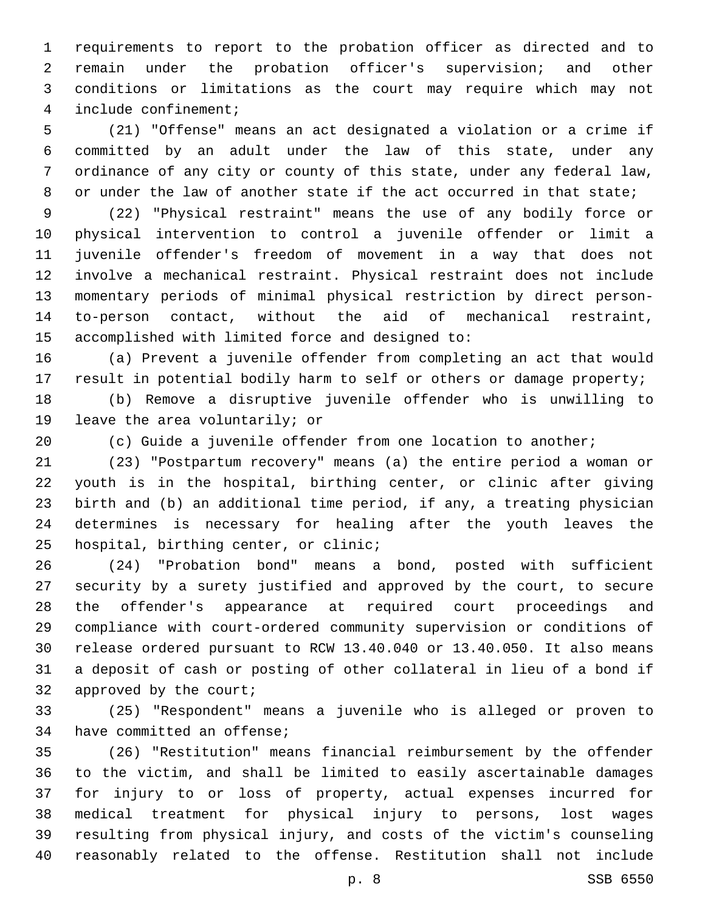requirements to report to the probation officer as directed and to remain under the probation officer's supervision; and other conditions or limitations as the court may require which may not include confinement;4

 (21) "Offense" means an act designated a violation or a crime if committed by an adult under the law of this state, under any ordinance of any city or county of this state, under any federal law, or under the law of another state if the act occurred in that state;

 (22) "Physical restraint" means the use of any bodily force or physical intervention to control a juvenile offender or limit a juvenile offender's freedom of movement in a way that does not involve a mechanical restraint. Physical restraint does not include momentary periods of minimal physical restriction by direct person- to-person contact, without the aid of mechanical restraint, 15 accomplished with limited force and designed to:

 (a) Prevent a juvenile offender from completing an act that would result in potential bodily harm to self or others or damage property;

 (b) Remove a disruptive juvenile offender who is unwilling to 19 leave the area voluntarily; or

20 (c) Guide a juvenile offender from one location to another;

 (23) "Postpartum recovery" means (a) the entire period a woman or youth is in the hospital, birthing center, or clinic after giving birth and (b) an additional time period, if any, a treating physician determines is necessary for healing after the youth leaves the 25 hospital, birthing center, or clinic;

 (24) "Probation bond" means a bond, posted with sufficient security by a surety justified and approved by the court, to secure the offender's appearance at required court proceedings and compliance with court-ordered community supervision or conditions of release ordered pursuant to RCW 13.40.040 or 13.40.050. It also means a deposit of cash or posting of other collateral in lieu of a bond if 32 approved by the court;

 (25) "Respondent" means a juvenile who is alleged or proven to 34 have committed an offense;

 (26) "Restitution" means financial reimbursement by the offender to the victim, and shall be limited to easily ascertainable damages for injury to or loss of property, actual expenses incurred for medical treatment for physical injury to persons, lost wages resulting from physical injury, and costs of the victim's counseling reasonably related to the offense. Restitution shall not include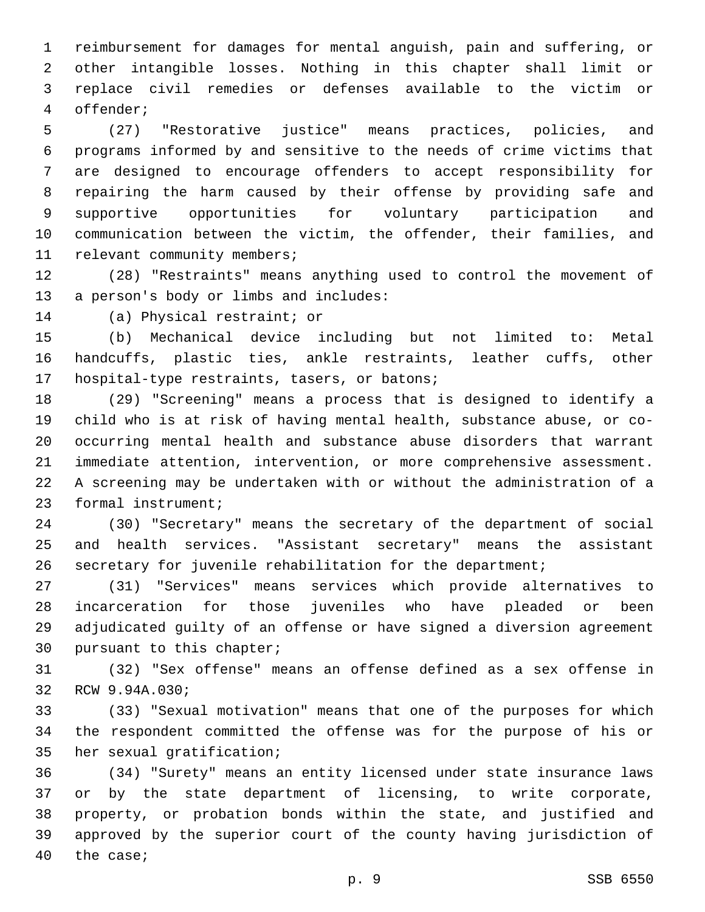reimbursement for damages for mental anguish, pain and suffering, or other intangible losses. Nothing in this chapter shall limit or replace civil remedies or defenses available to the victim or offender;4

 (27) "Restorative justice" means practices, policies, and programs informed by and sensitive to the needs of crime victims that are designed to encourage offenders to accept responsibility for repairing the harm caused by their offense by providing safe and supportive opportunities for voluntary participation and communication between the victim, the offender, their families, and 11 relevant community members;

 (28) "Restraints" means anything used to control the movement of 13 a person's body or limbs and includes:

14 (a) Physical restraint; or

 (b) Mechanical device including but not limited to: Metal handcuffs, plastic ties, ankle restraints, leather cuffs, other 17 hospital-type restraints, tasers, or batons;

 (29) "Screening" means a process that is designed to identify a child who is at risk of having mental health, substance abuse, or co- occurring mental health and substance abuse disorders that warrant immediate attention, intervention, or more comprehensive assessment. A screening may be undertaken with or without the administration of a 23 formal instrument;

 (30) "Secretary" means the secretary of the department of social and health services. "Assistant secretary" means the assistant secretary for juvenile rehabilitation for the department;

 (31) "Services" means services which provide alternatives to incarceration for those juveniles who have pleaded or been adjudicated guilty of an offense or have signed a diversion agreement 30 pursuant to this chapter;

 (32) "Sex offense" means an offense defined as a sex offense in 32 RCW 9.94A.030;

 (33) "Sexual motivation" means that one of the purposes for which the respondent committed the offense was for the purpose of his or 35 her sexual gratification;

 (34) "Surety" means an entity licensed under state insurance laws or by the state department of licensing, to write corporate, property, or probation bonds within the state, and justified and approved by the superior court of the county having jurisdiction of 40 the case;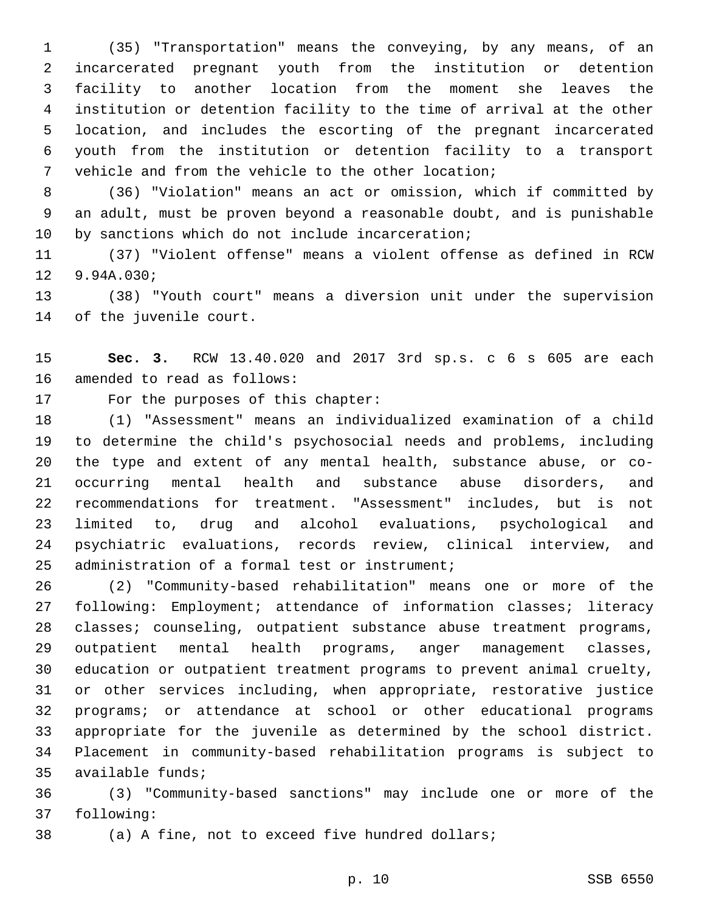(35) "Transportation" means the conveying, by any means, of an incarcerated pregnant youth from the institution or detention facility to another location from the moment she leaves the institution or detention facility to the time of arrival at the other location, and includes the escorting of the pregnant incarcerated youth from the institution or detention facility to a transport vehicle and from the vehicle to the other location;

 (36) "Violation" means an act or omission, which if committed by an adult, must be proven beyond a reasonable doubt, and is punishable 10 by sanctions which do not include incarceration;

 (37) "Violent offense" means a violent offense as defined in RCW 12 9.94A.030;

 (38) "Youth court" means a diversion unit under the supervision 14 of the juvenile court.

 **Sec. 3.** RCW 13.40.020 and 2017 3rd sp.s. c 6 s 605 are each 16 amended to read as follows:

17 For the purposes of this chapter:

 (1) "Assessment" means an individualized examination of a child to determine the child's psychosocial needs and problems, including the type and extent of any mental health, substance abuse, or co- occurring mental health and substance abuse disorders, and recommendations for treatment. "Assessment" includes, but is not limited to, drug and alcohol evaluations, psychological and psychiatric evaluations, records review, clinical interview, and 25 administration of a formal test or instrument;

 (2) "Community-based rehabilitation" means one or more of the following: Employment; attendance of information classes; literacy classes; counseling, outpatient substance abuse treatment programs, outpatient mental health programs, anger management classes, education or outpatient treatment programs to prevent animal cruelty, or other services including, when appropriate, restorative justice programs; or attendance at school or other educational programs appropriate for the juvenile as determined by the school district. Placement in community-based rehabilitation programs is subject to 35 available funds;

 (3) "Community-based sanctions" may include one or more of the 37 following:

(a) A fine, not to exceed five hundred dollars;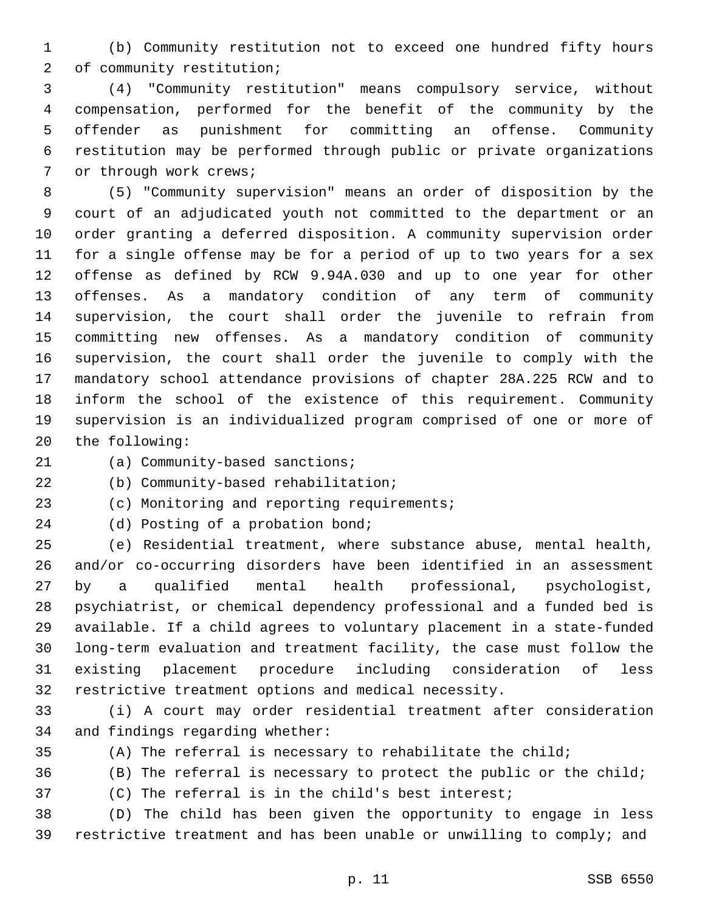(b) Community restitution not to exceed one hundred fifty hours 2 of community restitution;

 (4) "Community restitution" means compulsory service, without compensation, performed for the benefit of the community by the offender as punishment for committing an offense. Community restitution may be performed through public or private organizations 7 or through work crews;

 (5) "Community supervision" means an order of disposition by the court of an adjudicated youth not committed to the department or an order granting a deferred disposition. A community supervision order for a single offense may be for a period of up to two years for a sex offense as defined by RCW 9.94A.030 and up to one year for other offenses. As a mandatory condition of any term of community supervision, the court shall order the juvenile to refrain from committing new offenses. As a mandatory condition of community supervision, the court shall order the juvenile to comply with the mandatory school attendance provisions of chapter 28A.225 RCW and to inform the school of the existence of this requirement. Community supervision is an individualized program comprised of one or more of 20 the following:

21 (a) Community-based sanctions;

(b) Community-based rehabilitation;22

23 (c) Monitoring and reporting requirements;

24 (d) Posting of a probation bond;

 (e) Residential treatment, where substance abuse, mental health, and/or co-occurring disorders have been identified in an assessment by a qualified mental health professional, psychologist, psychiatrist, or chemical dependency professional and a funded bed is available. If a child agrees to voluntary placement in a state-funded long-term evaluation and treatment facility, the case must follow the existing placement procedure including consideration of less restrictive treatment options and medical necessity.

 (i) A court may order residential treatment after consideration 34 and findings regarding whether:

(A) The referral is necessary to rehabilitate the child;

(B) The referral is necessary to protect the public or the child;

(C) The referral is in the child's best interest;

 (D) The child has been given the opportunity to engage in less restrictive treatment and has been unable or unwilling to comply; and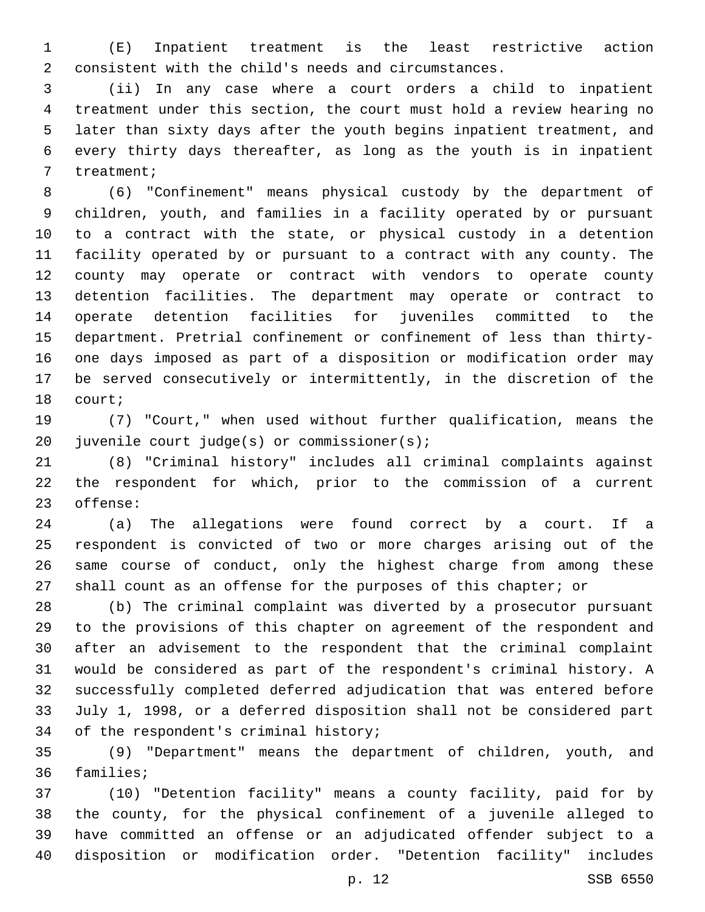(E) Inpatient treatment is the least restrictive action consistent with the child's needs and circumstances.

 (ii) In any case where a court orders a child to inpatient treatment under this section, the court must hold a review hearing no later than sixty days after the youth begins inpatient treatment, and every thirty days thereafter, as long as the youth is in inpatient 7 treatment;

 (6) "Confinement" means physical custody by the department of children, youth, and families in a facility operated by or pursuant to a contract with the state, or physical custody in a detention facility operated by or pursuant to a contract with any county. The county may operate or contract with vendors to operate county detention facilities. The department may operate or contract to operate detention facilities for juveniles committed to the department. Pretrial confinement or confinement of less than thirty- one days imposed as part of a disposition or modification order may be served consecutively or intermittently, in the discretion of the 18 court;

 (7) "Court," when used without further qualification, means the 20 juvenile court judge(s) or commissioner(s);

 (8) "Criminal history" includes all criminal complaints against the respondent for which, prior to the commission of a current 23 offense:

 (a) The allegations were found correct by a court. If a respondent is convicted of two or more charges arising out of the same course of conduct, only the highest charge from among these shall count as an offense for the purposes of this chapter; or

 (b) The criminal complaint was diverted by a prosecutor pursuant to the provisions of this chapter on agreement of the respondent and after an advisement to the respondent that the criminal complaint would be considered as part of the respondent's criminal history. A successfully completed deferred adjudication that was entered before July 1, 1998, or a deferred disposition shall not be considered part 34 of the respondent's criminal history;

 (9) "Department" means the department of children, youth, and 36 families;

 (10) "Detention facility" means a county facility, paid for by the county, for the physical confinement of a juvenile alleged to have committed an offense or an adjudicated offender subject to a disposition or modification order. "Detention facility" includes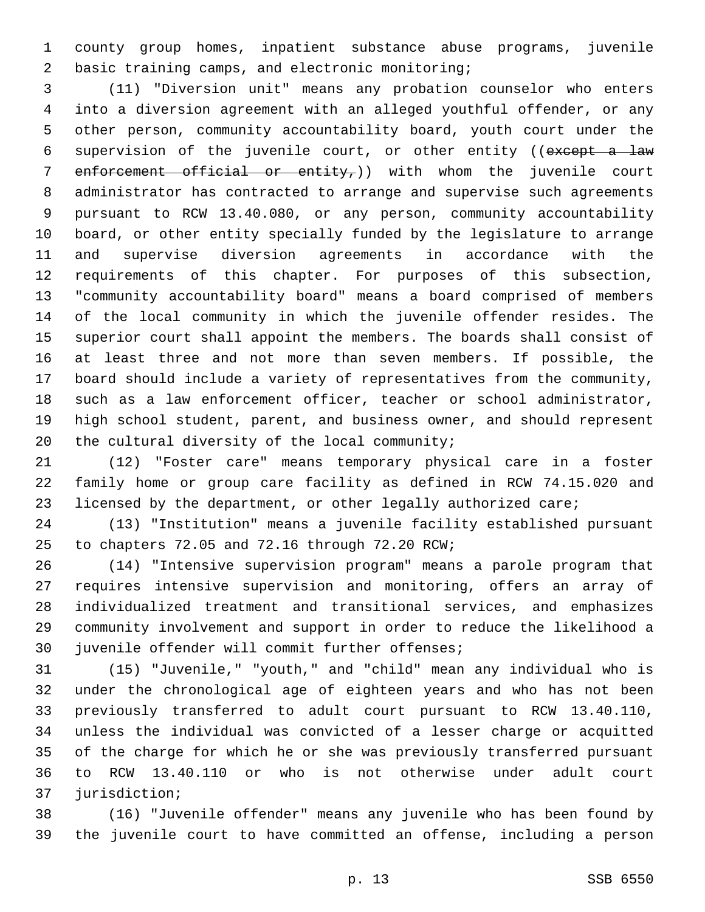county group homes, inpatient substance abuse programs, juvenile 2 basic training camps, and electronic monitoring;

 (11) "Diversion unit" means any probation counselor who enters into a diversion agreement with an alleged youthful offender, or any other person, community accountability board, youth court under the 6 supervision of the juvenile court, or other entity ((except a law enforcement official or entity,)) with whom the juvenile court administrator has contracted to arrange and supervise such agreements pursuant to RCW 13.40.080, or any person, community accountability board, or other entity specially funded by the legislature to arrange and supervise diversion agreements in accordance with the requirements of this chapter. For purposes of this subsection, "community accountability board" means a board comprised of members of the local community in which the juvenile offender resides. The superior court shall appoint the members. The boards shall consist of at least three and not more than seven members. If possible, the board should include a variety of representatives from the community, such as a law enforcement officer, teacher or school administrator, high school student, parent, and business owner, and should represent 20 the cultural diversity of the local community;

 (12) "Foster care" means temporary physical care in a foster family home or group care facility as defined in RCW 74.15.020 and licensed by the department, or other legally authorized care;

 (13) "Institution" means a juvenile facility established pursuant 25 to chapters 72.05 and 72.16 through 72.20 RCW;

 (14) "Intensive supervision program" means a parole program that requires intensive supervision and monitoring, offers an array of individualized treatment and transitional services, and emphasizes community involvement and support in order to reduce the likelihood a 30 juvenile offender will commit further offenses;

 (15) "Juvenile," "youth," and "child" mean any individual who is under the chronological age of eighteen years and who has not been previously transferred to adult court pursuant to RCW 13.40.110, unless the individual was convicted of a lesser charge or acquitted of the charge for which he or she was previously transferred pursuant to RCW 13.40.110 or who is not otherwise under adult court 37 jurisdiction;

 (16) "Juvenile offender" means any juvenile who has been found by the juvenile court to have committed an offense, including a person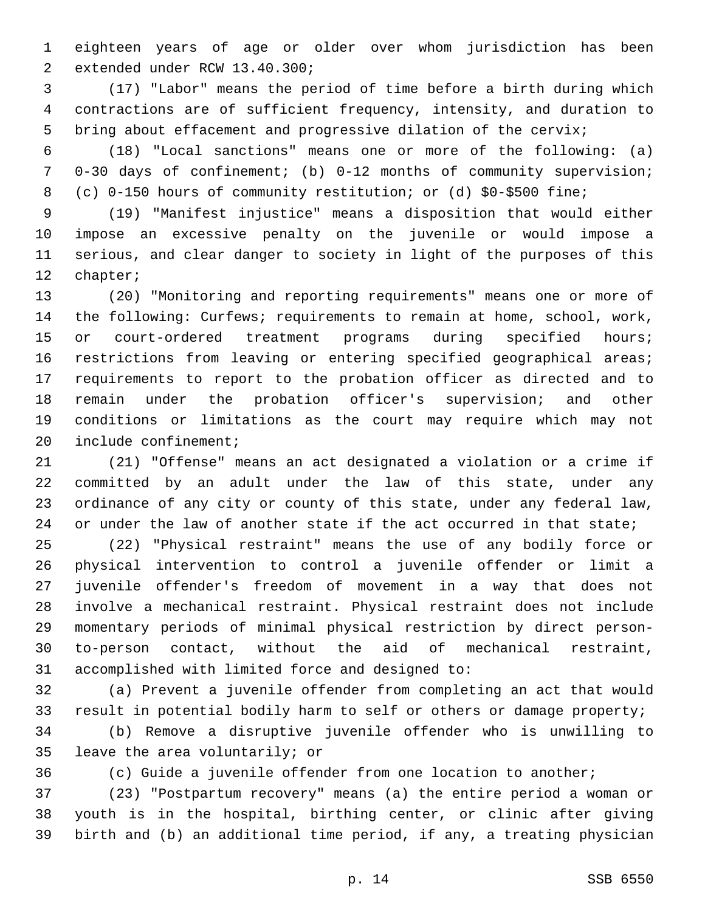eighteen years of age or older over whom jurisdiction has been 2 extended under RCW 13.40.300;

 (17) "Labor" means the period of time before a birth during which contractions are of sufficient frequency, intensity, and duration to bring about effacement and progressive dilation of the cervix;

 (18) "Local sanctions" means one or more of the following: (a) 0-30 days of confinement; (b) 0-12 months of community supervision; 8 (c) 0-150 hours of community restitution; or (d) \$0-\$500 fine;

 (19) "Manifest injustice" means a disposition that would either impose an excessive penalty on the juvenile or would impose a serious, and clear danger to society in light of the purposes of this 12 chapter;

 (20) "Monitoring and reporting requirements" means one or more of the following: Curfews; requirements to remain at home, school, work, or court-ordered treatment programs during specified hours; restrictions from leaving or entering specified geographical areas; requirements to report to the probation officer as directed and to remain under the probation officer's supervision; and other conditions or limitations as the court may require which may not 20 include confinement;

 (21) "Offense" means an act designated a violation or a crime if committed by an adult under the law of this state, under any ordinance of any city or county of this state, under any federal law, 24 or under the law of another state if the act occurred in that state;

 (22) "Physical restraint" means the use of any bodily force or physical intervention to control a juvenile offender or limit a juvenile offender's freedom of movement in a way that does not involve a mechanical restraint. Physical restraint does not include momentary periods of minimal physical restriction by direct person- to-person contact, without the aid of mechanical restraint, 31 accomplished with limited force and designed to:

 (a) Prevent a juvenile offender from completing an act that would result in potential bodily harm to self or others or damage property;

 (b) Remove a disruptive juvenile offender who is unwilling to 35 leave the area voluntarily; or

(c) Guide a juvenile offender from one location to another;

 (23) "Postpartum recovery" means (a) the entire period a woman or youth is in the hospital, birthing center, or clinic after giving birth and (b) an additional time period, if any, a treating physician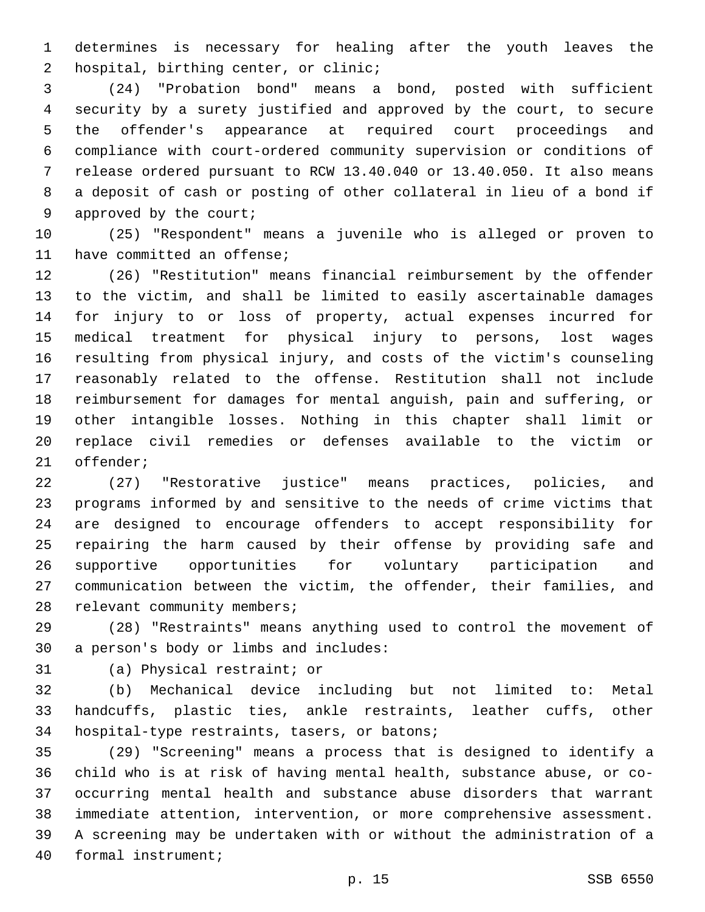determines is necessary for healing after the youth leaves the 2 hospital, birthing center, or clinic;

 (24) "Probation bond" means a bond, posted with sufficient security by a surety justified and approved by the court, to secure the offender's appearance at required court proceedings and compliance with court-ordered community supervision or conditions of release ordered pursuant to RCW 13.40.040 or 13.40.050. It also means a deposit of cash or posting of other collateral in lieu of a bond if 9 approved by the court;

 (25) "Respondent" means a juvenile who is alleged or proven to 11 have committed an offense;

 (26) "Restitution" means financial reimbursement by the offender to the victim, and shall be limited to easily ascertainable damages for injury to or loss of property, actual expenses incurred for medical treatment for physical injury to persons, lost wages resulting from physical injury, and costs of the victim's counseling reasonably related to the offense. Restitution shall not include reimbursement for damages for mental anguish, pain and suffering, or other intangible losses. Nothing in this chapter shall limit or replace civil remedies or defenses available to the victim or 21 offender;

 (27) "Restorative justice" means practices, policies, and programs informed by and sensitive to the needs of crime victims that are designed to encourage offenders to accept responsibility for repairing the harm caused by their offense by providing safe and supportive opportunities for voluntary participation and communication between the victim, the offender, their families, and 28 relevant community members;

 (28) "Restraints" means anything used to control the movement of 30 a person's body or limbs and includes:

31 (a) Physical restraint; or

 (b) Mechanical device including but not limited to: Metal handcuffs, plastic ties, ankle restraints, leather cuffs, other 34 hospital-type restraints, tasers, or batons;

 (29) "Screening" means a process that is designed to identify a child who is at risk of having mental health, substance abuse, or co- occurring mental health and substance abuse disorders that warrant immediate attention, intervention, or more comprehensive assessment. A screening may be undertaken with or without the administration of a 40 formal instrument;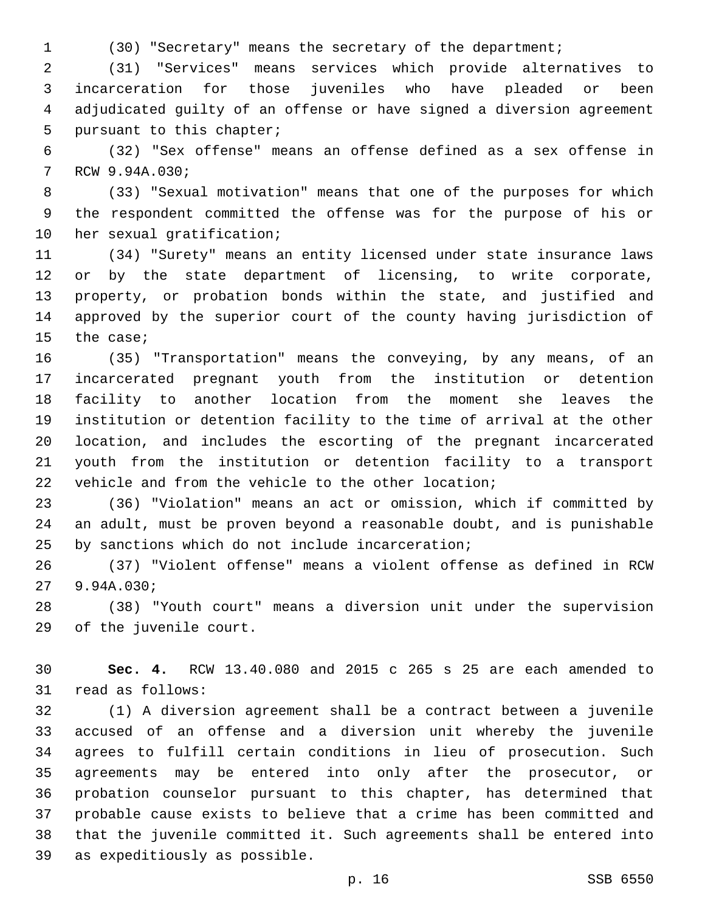(30) "Secretary" means the secretary of the department;

 (31) "Services" means services which provide alternatives to incarceration for those juveniles who have pleaded or been adjudicated guilty of an offense or have signed a diversion agreement 5 pursuant to this chapter;

 (32) "Sex offense" means an offense defined as a sex offense in 7 RCW 9.94A.030;

 (33) "Sexual motivation" means that one of the purposes for which the respondent committed the offense was for the purpose of his or 10 her sexual gratification;

 (34) "Surety" means an entity licensed under state insurance laws or by the state department of licensing, to write corporate, property, or probation bonds within the state, and justified and approved by the superior court of the county having jurisdiction of the case;

 (35) "Transportation" means the conveying, by any means, of an incarcerated pregnant youth from the institution or detention facility to another location from the moment she leaves the institution or detention facility to the time of arrival at the other location, and includes the escorting of the pregnant incarcerated youth from the institution or detention facility to a transport vehicle and from the vehicle to the other location;

 (36) "Violation" means an act or omission, which if committed by an adult, must be proven beyond a reasonable doubt, and is punishable 25 by sanctions which do not include incarceration;

 (37) "Violent offense" means a violent offense as defined in RCW 27 9.94A.030;

 (38) "Youth court" means a diversion unit under the supervision 29 of the juvenile court.

 **Sec. 4.** RCW 13.40.080 and 2015 c 265 s 25 are each amended to 31 read as follows:

 (1) A diversion agreement shall be a contract between a juvenile accused of an offense and a diversion unit whereby the juvenile agrees to fulfill certain conditions in lieu of prosecution. Such agreements may be entered into only after the prosecutor, or probation counselor pursuant to this chapter, has determined that probable cause exists to believe that a crime has been committed and that the juvenile committed it. Such agreements shall be entered into 39 as expeditiously as possible.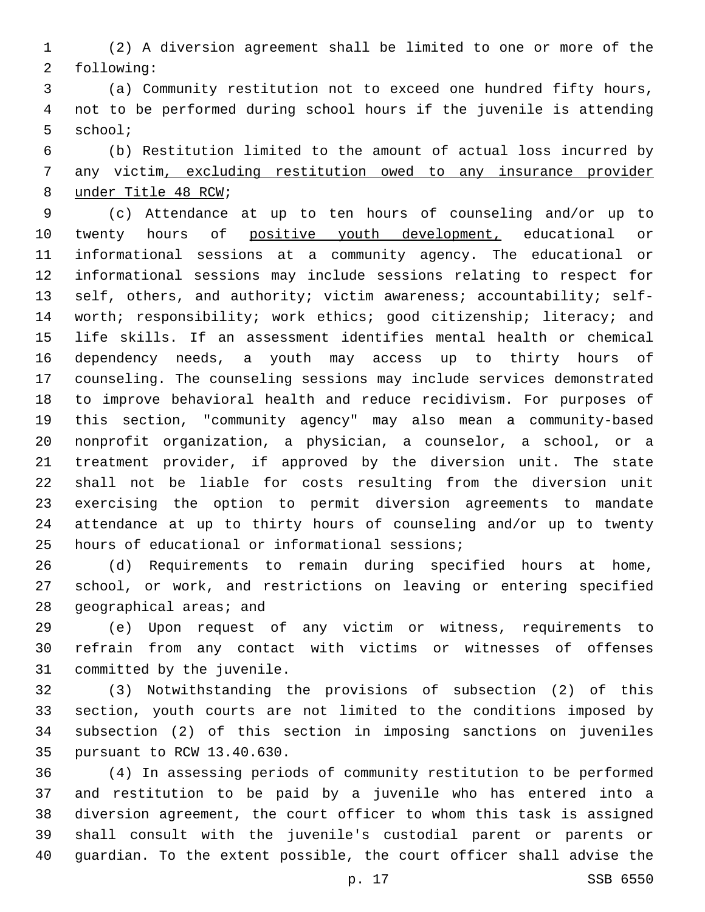(2) A diversion agreement shall be limited to one or more of the 2 following:

 (a) Community restitution not to exceed one hundred fifty hours, not to be performed during school hours if the juvenile is attending 5 school;

 (b) Restitution limited to the amount of actual loss incurred by any victim, excluding restitution owed to any insurance provider 8 under Title 48 RCW;

 (c) Attendance at up to ten hours of counseling and/or up to 10 twenty hours of positive youth development, educational or informational sessions at a community agency. The educational or informational sessions may include sessions relating to respect for self, others, and authority; victim awareness; accountability; self-14 worth; responsibility; work ethics; good citizenship; literacy; and life skills. If an assessment identifies mental health or chemical dependency needs, a youth may access up to thirty hours of counseling. The counseling sessions may include services demonstrated to improve behavioral health and reduce recidivism. For purposes of this section, "community agency" may also mean a community-based nonprofit organization, a physician, a counselor, a school, or a treatment provider, if approved by the diversion unit. The state shall not be liable for costs resulting from the diversion unit exercising the option to permit diversion agreements to mandate attendance at up to thirty hours of counseling and/or up to twenty 25 hours of educational or informational sessions;

 (d) Requirements to remain during specified hours at home, school, or work, and restrictions on leaving or entering specified 28 geographical areas; and

 (e) Upon request of any victim or witness, requirements to refrain from any contact with victims or witnesses of offenses 31 committed by the juvenile.

 (3) Notwithstanding the provisions of subsection (2) of this section, youth courts are not limited to the conditions imposed by subsection (2) of this section in imposing sanctions on juveniles 35 pursuant to RCW 13.40.630.

 (4) In assessing periods of community restitution to be performed and restitution to be paid by a juvenile who has entered into a diversion agreement, the court officer to whom this task is assigned shall consult with the juvenile's custodial parent or parents or guardian. To the extent possible, the court officer shall advise the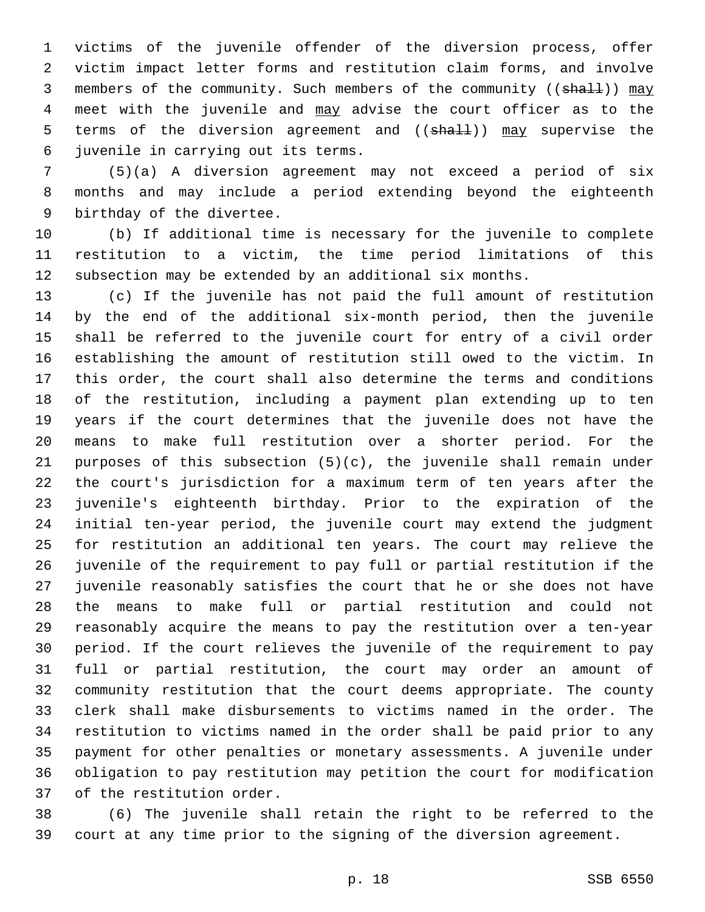victims of the juvenile offender of the diversion process, offer victim impact letter forms and restitution claim forms, and involve 3 members of the community. Such members of the community ((shall)) may meet with the juvenile and may advise the court officer as to the 5 terms of the diversion agreement and (( $\frac{1}{3}$ ) may supervise the juvenile in carrying out its terms.6

 (5)(a) A diversion agreement may not exceed a period of six months and may include a period extending beyond the eighteenth 9 birthday of the divertee.

 (b) If additional time is necessary for the juvenile to complete restitution to a victim, the time period limitations of this subsection may be extended by an additional six months.

 (c) If the juvenile has not paid the full amount of restitution by the end of the additional six-month period, then the juvenile shall be referred to the juvenile court for entry of a civil order establishing the amount of restitution still owed to the victim. In this order, the court shall also determine the terms and conditions of the restitution, including a payment plan extending up to ten years if the court determines that the juvenile does not have the means to make full restitution over a shorter period. For the purposes of this subsection (5)(c), the juvenile shall remain under the court's jurisdiction for a maximum term of ten years after the juvenile's eighteenth birthday. Prior to the expiration of the initial ten-year period, the juvenile court may extend the judgment for restitution an additional ten years. The court may relieve the juvenile of the requirement to pay full or partial restitution if the juvenile reasonably satisfies the court that he or she does not have the means to make full or partial restitution and could not reasonably acquire the means to pay the restitution over a ten-year period. If the court relieves the juvenile of the requirement to pay full or partial restitution, the court may order an amount of community restitution that the court deems appropriate. The county clerk shall make disbursements to victims named in the order. The restitution to victims named in the order shall be paid prior to any payment for other penalties or monetary assessments. A juvenile under obligation to pay restitution may petition the court for modification 37 of the restitution order.

 (6) The juvenile shall retain the right to be referred to the court at any time prior to the signing of the diversion agreement.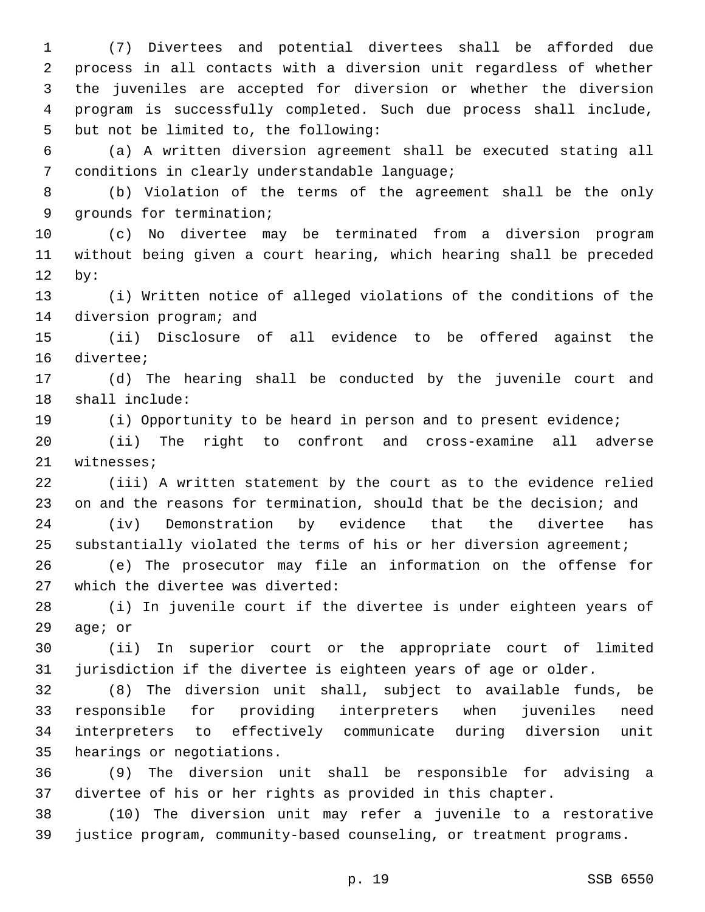(7) Divertees and potential divertees shall be afforded due process in all contacts with a diversion unit regardless of whether the juveniles are accepted for diversion or whether the diversion program is successfully completed. Such due process shall include, 5 but not be limited to, the following:

 (a) A written diversion agreement shall be executed stating all 7 conditions in clearly understandable language;

 (b) Violation of the terms of the agreement shall be the only 9 qrounds for termination;

 (c) No divertee may be terminated from a diversion program without being given a court hearing, which hearing shall be preceded by:

 (i) Written notice of alleged violations of the conditions of the 14 diversion program; and

 (ii) Disclosure of all evidence to be offered against the 16 divertee;

 (d) The hearing shall be conducted by the juvenile court and 18 shall include:

(i) Opportunity to be heard in person and to present evidence;

 (ii) The right to confront and cross-examine all adverse 21 witnesses;

 (iii) A written statement by the court as to the evidence relied on and the reasons for termination, should that be the decision; and (iv) Demonstration by evidence that the divertee has substantially violated the terms of his or her diversion agreement;

 (e) The prosecutor may file an information on the offense for 27 which the divertee was diverted:

 (i) In juvenile court if the divertee is under eighteen years of 29 age; or

 (ii) In superior court or the appropriate court of limited jurisdiction if the divertee is eighteen years of age or older.

 (8) The diversion unit shall, subject to available funds, be responsible for providing interpreters when juveniles need interpreters to effectively communicate during diversion unit 35 hearings or negotiations.

 (9) The diversion unit shall be responsible for advising a divertee of his or her rights as provided in this chapter.

 (10) The diversion unit may refer a juvenile to a restorative justice program, community-based counseling, or treatment programs.

p. 19 SSB 6550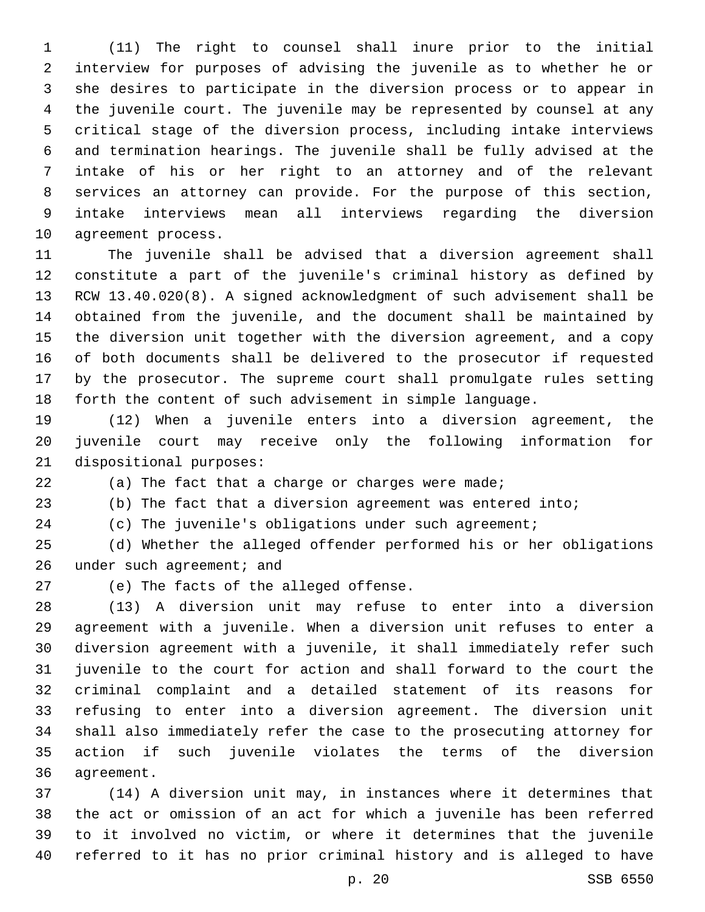(11) The right to counsel shall inure prior to the initial interview for purposes of advising the juvenile as to whether he or she desires to participate in the diversion process or to appear in the juvenile court. The juvenile may be represented by counsel at any critical stage of the diversion process, including intake interviews and termination hearings. The juvenile shall be fully advised at the intake of his or her right to an attorney and of the relevant services an attorney can provide. For the purpose of this section, intake interviews mean all interviews regarding the diversion 10 agreement process.

 The juvenile shall be advised that a diversion agreement shall constitute a part of the juvenile's criminal history as defined by RCW 13.40.020(8). A signed acknowledgment of such advisement shall be obtained from the juvenile, and the document shall be maintained by the diversion unit together with the diversion agreement, and a copy of both documents shall be delivered to the prosecutor if requested by the prosecutor. The supreme court shall promulgate rules setting forth the content of such advisement in simple language.

 (12) When a juvenile enters into a diversion agreement, the juvenile court may receive only the following information for 21 dispositional purposes:

22 (a) The fact that a charge or charges were made;

(b) The fact that a diversion agreement was entered into;

(c) The juvenile's obligations under such agreement;

 (d) Whether the alleged offender performed his or her obligations under such agreement; and

27 (e) The facts of the alleged offense.

 (13) A diversion unit may refuse to enter into a diversion agreement with a juvenile. When a diversion unit refuses to enter a diversion agreement with a juvenile, it shall immediately refer such juvenile to the court for action and shall forward to the court the criminal complaint and a detailed statement of its reasons for refusing to enter into a diversion agreement. The diversion unit shall also immediately refer the case to the prosecuting attorney for action if such juvenile violates the terms of the diversion 36 agreement.

 (14) A diversion unit may, in instances where it determines that the act or omission of an act for which a juvenile has been referred to it involved no victim, or where it determines that the juvenile referred to it has no prior criminal history and is alleged to have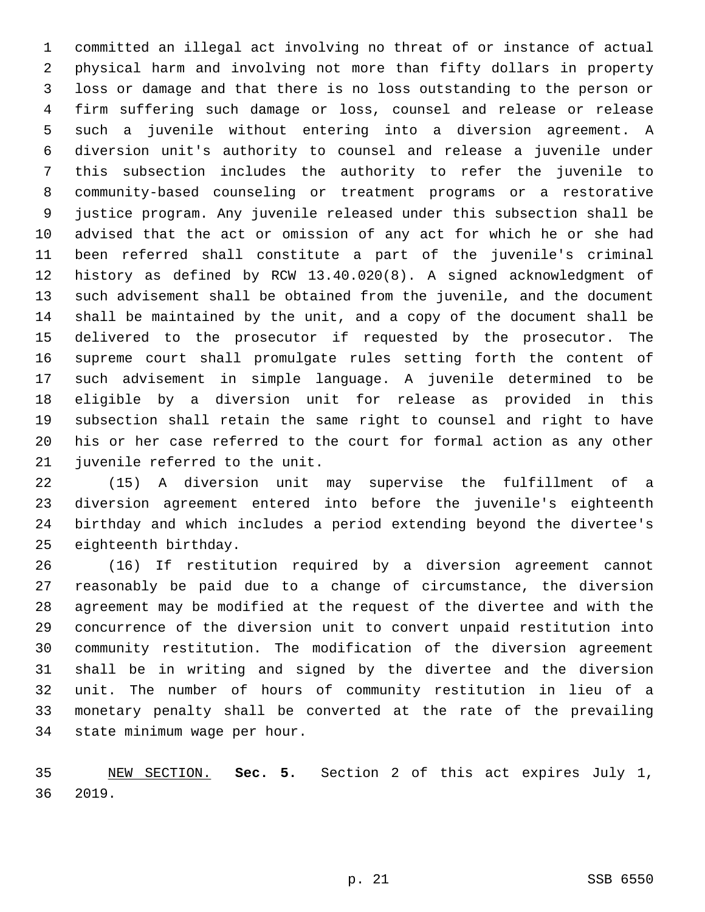committed an illegal act involving no threat of or instance of actual physical harm and involving not more than fifty dollars in property loss or damage and that there is no loss outstanding to the person or firm suffering such damage or loss, counsel and release or release such a juvenile without entering into a diversion agreement. A diversion unit's authority to counsel and release a juvenile under this subsection includes the authority to refer the juvenile to community-based counseling or treatment programs or a restorative justice program. Any juvenile released under this subsection shall be advised that the act or omission of any act for which he or she had been referred shall constitute a part of the juvenile's criminal history as defined by RCW 13.40.020(8). A signed acknowledgment of such advisement shall be obtained from the juvenile, and the document shall be maintained by the unit, and a copy of the document shall be delivered to the prosecutor if requested by the prosecutor. The supreme court shall promulgate rules setting forth the content of such advisement in simple language. A juvenile determined to be eligible by a diversion unit for release as provided in this subsection shall retain the same right to counsel and right to have his or her case referred to the court for formal action as any other 21 juvenile referred to the unit.

 (15) A diversion unit may supervise the fulfillment of a diversion agreement entered into before the juvenile's eighteenth birthday and which includes a period extending beyond the divertee's 25 eighteenth birthday.

 (16) If restitution required by a diversion agreement cannot reasonably be paid due to a change of circumstance, the diversion agreement may be modified at the request of the divertee and with the concurrence of the diversion unit to convert unpaid restitution into community restitution. The modification of the diversion agreement shall be in writing and signed by the divertee and the diversion unit. The number of hours of community restitution in lieu of a monetary penalty shall be converted at the rate of the prevailing 34 state minimum wage per hour.

 NEW SECTION. **Sec. 5.** Section 2 of this act expires July 1, 2019.